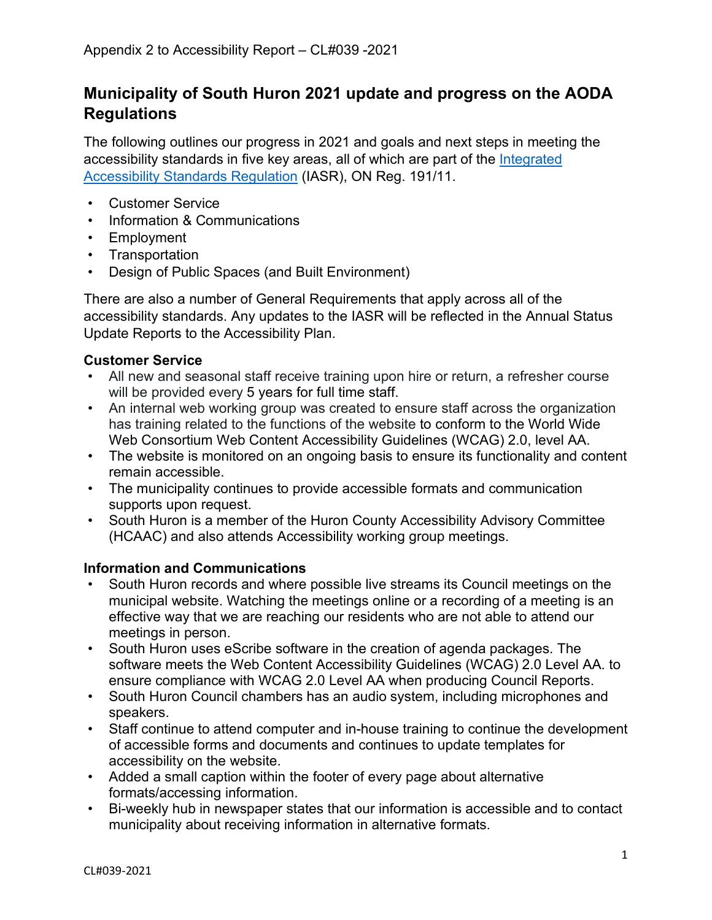# **Municipality of South Huron 2021 update and progress on the AODA Regulations**

The following outlines our progress in 2021 and goals and next steps in meeting the accessibility standards in five key areas, all of which are part of the [Integrated](https://www.ontario.ca/page/accessibility-ontario-what-you-need-to-know)  [Accessibility Standards Regulation](https://www.ontario.ca/page/accessibility-ontario-what-you-need-to-know) (IASR), ON Reg. 191/11.

- Customer Service
- Information & Communications
- Employment
- Transportation
- Design of Public Spaces (and Built Environment)

There are also a number of General Requirements that apply across all of the accessibility standards. Any updates to the IASR will be reflected in the Annual Status Update Reports to the Accessibility Plan.

#### **Customer Service**

- All new and seasonal staff receive training upon hire or return, a refresher course will be provided every 5 years for full time staff.
- An internal web working group was created to ensure staff across the organization has training related to the functions of the website to conform to the World Wide Web Consortium Web Content Accessibility Guidelines (WCAG) 2.0, level AA.
- The website is monitored on an ongoing basis to ensure its functionality and content remain accessible.
- The municipality continues to provide accessible formats and communication supports upon request.
- South Huron is a member of the Huron County Accessibility Advisory Committee (HCAAC) and also attends Accessibility working group meetings.

# **Information and Communications**

- South Huron records and where possible live streams its Council meetings on the municipal website. Watching the meetings online or a recording of a meeting is an effective way that we are reaching our residents who are not able to attend our meetings in person.
- South Huron uses eScribe software in the creation of agenda packages. The software meets the Web Content Accessibility Guidelines (WCAG) 2.0 Level AA. to ensure compliance with WCAG 2.0 Level AA when producing Council Reports.
- South Huron Council chambers has an audio system, including microphones and speakers.
- Staff continue to attend computer and in-house training to continue the development of accessible forms and documents and continues to update templates for accessibility on the website.
- Added a small caption within the footer of every page about alternative formats/accessing information.
- Bi-weekly hub in newspaper states that our information is accessible and to contact municipality about receiving information in alternative formats.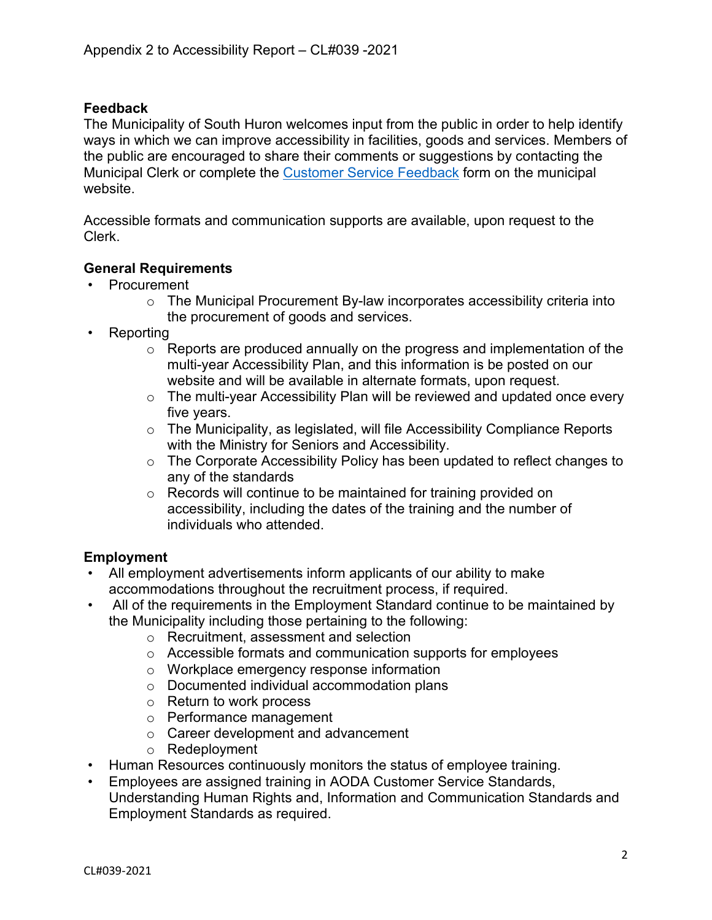# **Feedback**

The Municipality of South Huron welcomes input from the public in order to help identify ways in which we can improve accessibility in facilities, goods and services. Members of the public are encouraged to share their comments or suggestions by contacting the Municipal Clerk or complete the [Customer Service Feedback](https://forms.southhuron.ca/Customer-Service-Feedback) form on the municipal website.

Accessible formats and communication supports are available, upon request to the Clerk.

#### **General Requirements**

- Procurement
	- o The Municipal Procurement By-law incorporates accessibility criteria into the procurement of goods and services.
- Reporting
	- $\circ$  Reports are produced annually on the progress and implementation of the multi-year Accessibility Plan, and this information is be posted on our website and will be available in alternate formats, upon request.
	- o The multi-year Accessibility Plan will be reviewed and updated once every five years.
	- o The Municipality, as legislated, will file Accessibility Compliance Reports with the Ministry for Seniors and Accessibility.
	- o The Corporate Accessibility Policy has been updated to reflect changes to any of the standards
	- o Records will continue to be maintained for training provided on accessibility, including the dates of the training and the number of individuals who attended.

#### **Employment**

- All employment advertisements inform applicants of our ability to make accommodations throughout the recruitment process, if required.
- All of the requirements in the Employment Standard continue to be maintained by the Municipality including those pertaining to the following:
	- o Recruitment, assessment and selection
	- o Accessible formats and communication supports for employees
	- o Workplace emergency response information
	- o Documented individual accommodation plans
	- o Return to work process
	- o Performance management
	- o Career development and advancement
	- o Redeployment
- Human Resources continuously monitors the status of employee training.
- Employees are assigned training in AODA Customer Service Standards, Understanding Human Rights and, Information and Communication Standards and Employment Standards as required.